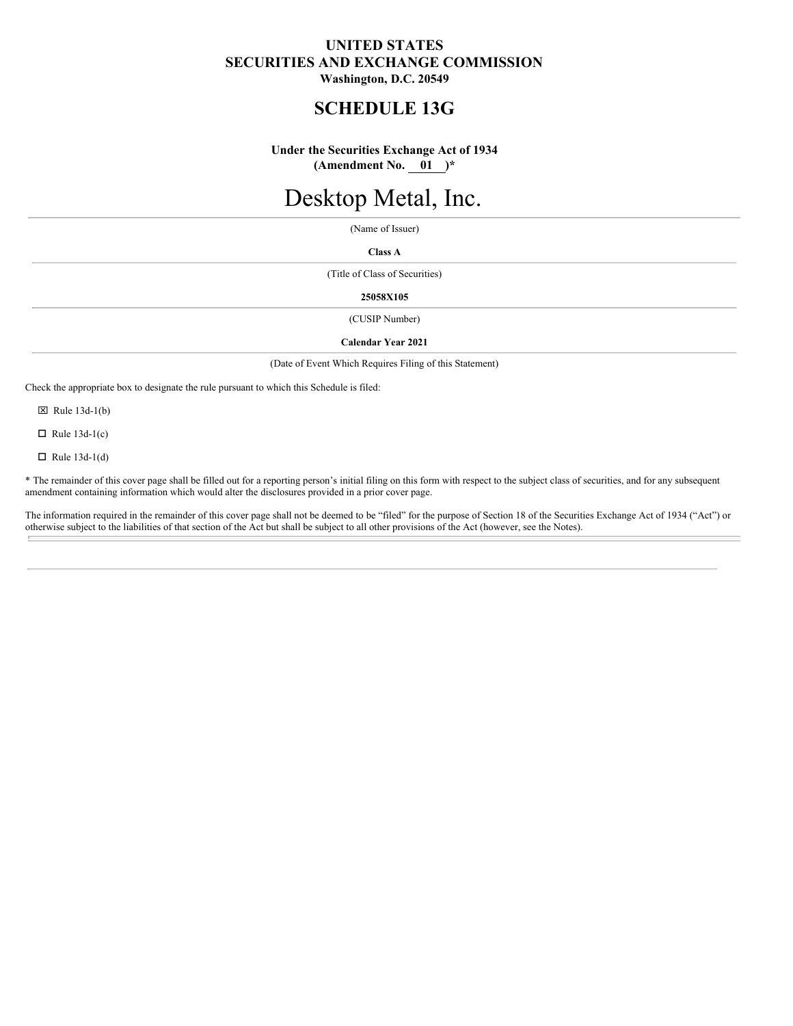# **UNITED STATES SECURITIES AND EXCHANGE COMMISSION Washington, D.C. 20549**

# **SCHEDULE 13G**

# **Under the Securities Exchange Act of 1934 (Amendment No. 01 )\***

# Desktop Metal, Inc.

(Name of Issuer)

**Class A**

(Title of Class of Securities)

#### **25058X105**

(CUSIP Number)

#### **Calendar Year 2021**

(Date of Event Which Requires Filing of this Statement)

Check the appropriate box to designate the rule pursuant to which this Schedule is filed:

 $\boxtimes$  Rule 13d-1(b)

 $\Box$  Rule 13d-1(c)

 $\Box$  Rule 13d-1(d)

\* The remainder of this cover page shall be filled out for a reporting person's initial filing on this form with respect to the subject class of securities, and for any subsequent amendment containing information which would alter the disclosures provided in a prior cover page.

The information required in the remainder of this cover page shall not be deemed to be "filed" for the purpose of Section 18 of the Securities Exchange Act of 1934 ("Act") or otherwise subject to the liabilities of that section of the Act but shall be subject to all other provisions of the Act (however, see the Notes).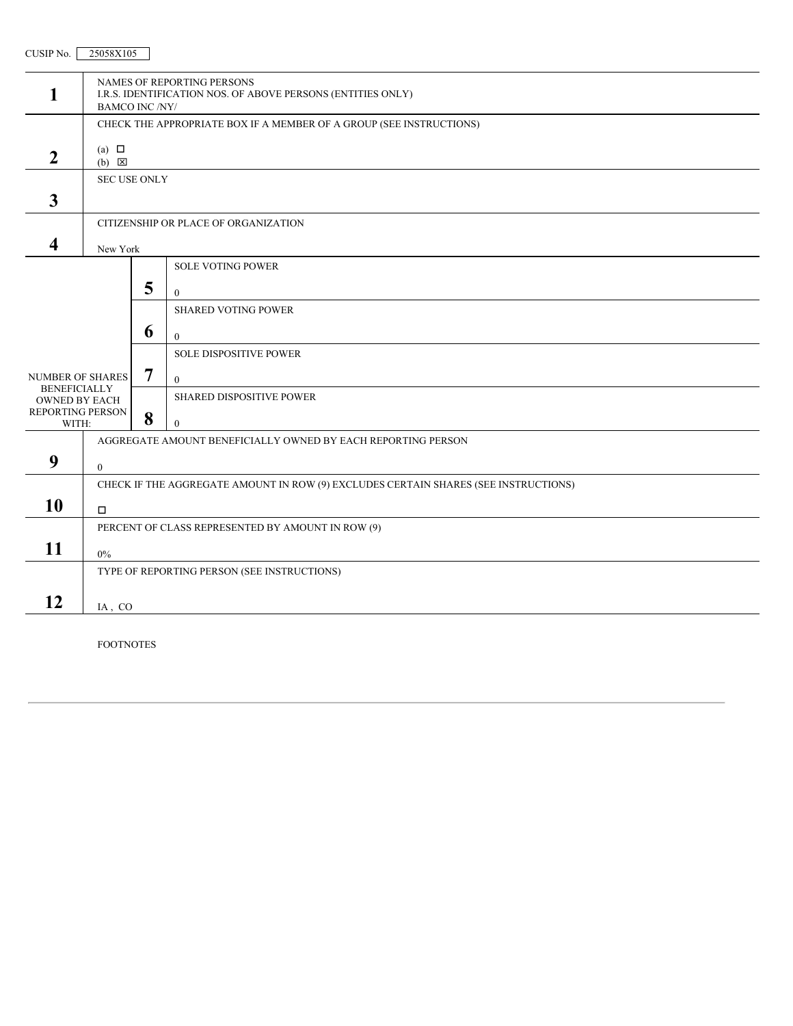| CHSIP N<br>No. | 25058X105 |  |
|----------------|-----------|--|

| 1                                           | NAMES OF REPORTING PERSONS<br>I.R.S. IDENTIFICATION NOS. OF ABOVE PERSONS (ENTITIES ONLY)    |   |                                                                                     |  |
|---------------------------------------------|----------------------------------------------------------------------------------------------|---|-------------------------------------------------------------------------------------|--|
|                                             | <b>BAMCO INC /NY/</b><br>CHECK THE APPROPRIATE BOX IF A MEMBER OF A GROUP (SEE INSTRUCTIONS) |   |                                                                                     |  |
|                                             |                                                                                              |   |                                                                                     |  |
| $\overline{2}$                              | (a) $\Box$<br>$(b)$ $\boxtimes$                                                              |   |                                                                                     |  |
|                                             | <b>SEC USE ONLY</b>                                                                          |   |                                                                                     |  |
| $\overline{\mathbf{3}}$                     |                                                                                              |   |                                                                                     |  |
|                                             | CITIZENSHIP OR PLACE OF ORGANIZATION                                                         |   |                                                                                     |  |
| 4                                           | New York                                                                                     |   |                                                                                     |  |
|                                             |                                                                                              |   | <b>SOLE VOTING POWER</b>                                                            |  |
|                                             |                                                                                              | 5 | $\overline{0}$                                                                      |  |
|                                             |                                                                                              |   | <b>SHARED VOTING POWER</b>                                                          |  |
|                                             |                                                                                              | 6 | $\mathbf{0}$                                                                        |  |
|                                             |                                                                                              |   | <b>SOLE DISPOSITIVE POWER</b>                                                       |  |
| <b>NUMBER OF SHARES</b>                     |                                                                                              | 7 | $\theta$                                                                            |  |
| <b>BENEFICIALLY</b><br><b>OWNED BY EACH</b> |                                                                                              |   | SHARED DISPOSITIVE POWER                                                            |  |
| REPORTING PERSON<br>WITH:                   |                                                                                              | 8 | $\Omega$                                                                            |  |
|                                             | AGGREGATE AMOUNT BENEFICIALLY OWNED BY EACH REPORTING PERSON                                 |   |                                                                                     |  |
| 9                                           | $\mathbf{0}$                                                                                 |   |                                                                                     |  |
|                                             |                                                                                              |   | CHECK IF THE AGGREGATE AMOUNT IN ROW (9) EXCLUDES CERTAIN SHARES (SEE INSTRUCTIONS) |  |
| 10                                          | $\Box$                                                                                       |   |                                                                                     |  |
|                                             | PERCENT OF CLASS REPRESENTED BY AMOUNT IN ROW (9)                                            |   |                                                                                     |  |
| 11                                          | $0\%$                                                                                        |   |                                                                                     |  |
|                                             | TYPE OF REPORTING PERSON (SEE INSTRUCTIONS)                                                  |   |                                                                                     |  |
| 12                                          |                                                                                              |   |                                                                                     |  |
|                                             | IA, CO                                                                                       |   |                                                                                     |  |

FOOTNOTES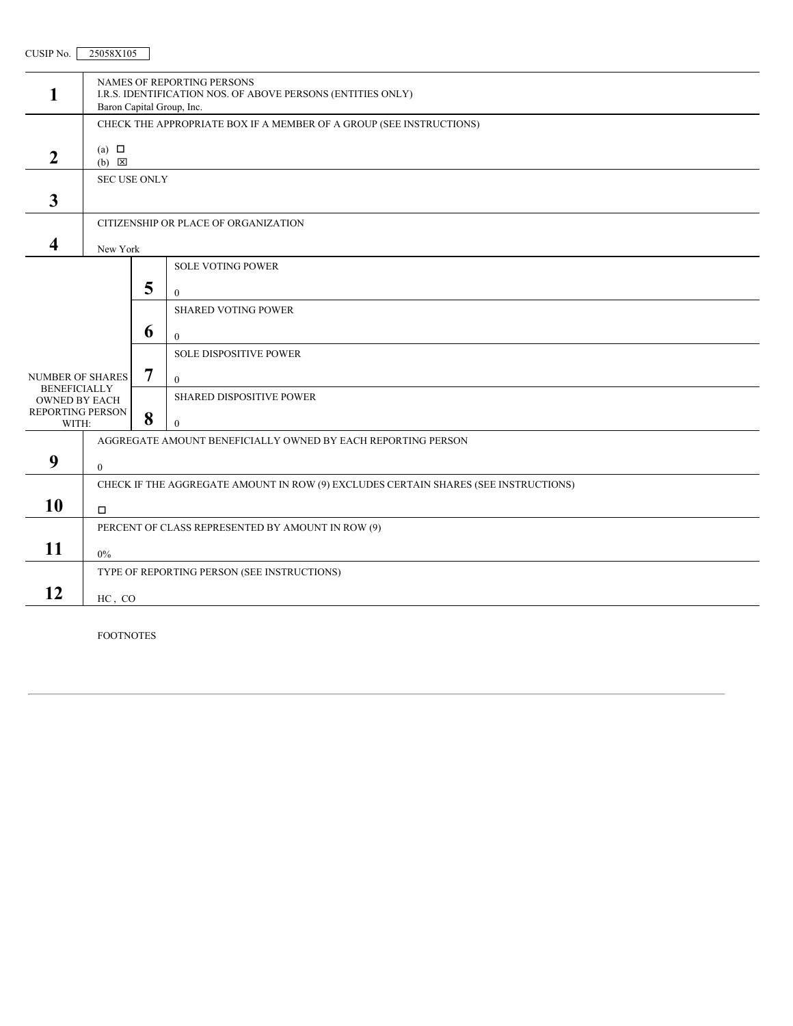| 1                                           | NAMES OF REPORTING PERSONS<br>I.R.S. IDENTIFICATION NOS. OF ABOVE PERSONS (ENTITIES ONLY)<br>Baron Capital Group, Inc. |   |                                                                                     |  |
|---------------------------------------------|------------------------------------------------------------------------------------------------------------------------|---|-------------------------------------------------------------------------------------|--|
|                                             | CHECK THE APPROPRIATE BOX IF A MEMBER OF A GROUP (SEE INSTRUCTIONS)                                                    |   |                                                                                     |  |
|                                             | (a) $\Box$                                                                                                             |   |                                                                                     |  |
| $\overline{2}$                              | $(b) \quad \boxed{\times}$                                                                                             |   |                                                                                     |  |
|                                             | <b>SEC USE ONLY</b>                                                                                                    |   |                                                                                     |  |
| $\mathbf{3}$                                |                                                                                                                        |   |                                                                                     |  |
|                                             | CITIZENSHIP OR PLACE OF ORGANIZATION                                                                                   |   |                                                                                     |  |
| $\overline{\mathbf{4}}$                     | New York                                                                                                               |   |                                                                                     |  |
|                                             |                                                                                                                        |   | <b>SOLE VOTING POWER</b>                                                            |  |
|                                             |                                                                                                                        | 5 | $\theta$                                                                            |  |
|                                             |                                                                                                                        |   | <b>SHARED VOTING POWER</b>                                                          |  |
|                                             |                                                                                                                        | 6 | $\theta$                                                                            |  |
|                                             |                                                                                                                        |   | <b>SOLE DISPOSITIVE POWER</b>                                                       |  |
| <b>NUMBER OF SHARES</b>                     |                                                                                                                        | 7 | $\theta$                                                                            |  |
| <b>BENEFICIALLY</b><br><b>OWNED BY EACH</b> |                                                                                                                        |   | <b>SHARED DISPOSITIVE POWER</b>                                                     |  |
| REPORTING PERSON<br>WITH:                   |                                                                                                                        | 8 | $\bf{0}$                                                                            |  |
|                                             | AGGREGATE AMOUNT BENEFICIALLY OWNED BY EACH REPORTING PERSON                                                           |   |                                                                                     |  |
| 9                                           | $\overline{0}$                                                                                                         |   |                                                                                     |  |
|                                             |                                                                                                                        |   | CHECK IF THE AGGREGATE AMOUNT IN ROW (9) EXCLUDES CERTAIN SHARES (SEE INSTRUCTIONS) |  |
| 10                                          | О.                                                                                                                     |   |                                                                                     |  |
|                                             | PERCENT OF CLASS REPRESENTED BY AMOUNT IN ROW (9)                                                                      |   |                                                                                     |  |
| 11                                          | $0\%$                                                                                                                  |   |                                                                                     |  |
|                                             |                                                                                                                        |   | TYPE OF REPORTING PERSON (SEE INSTRUCTIONS)                                         |  |
| 12                                          | HC, CO                                                                                                                 |   |                                                                                     |  |
|                                             |                                                                                                                        |   |                                                                                     |  |

FOOTNOTES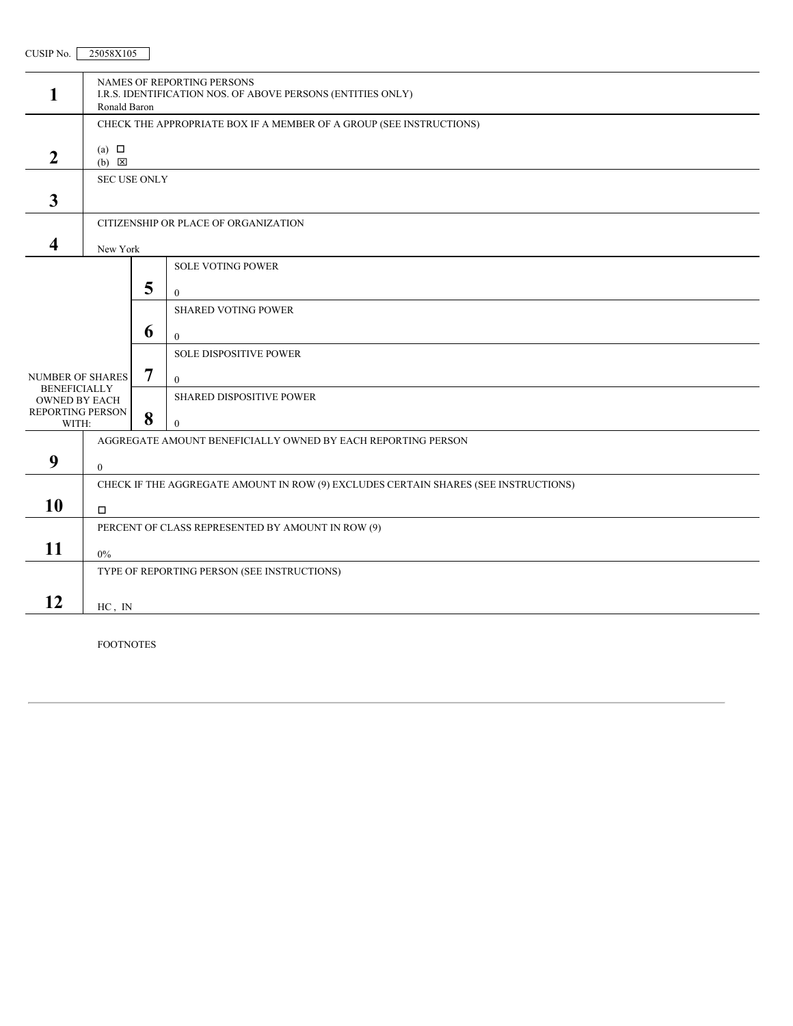| 1                                           | NAMES OF REPORTING PERSONS<br>I.R.S. IDENTIFICATION NOS. OF ABOVE PERSONS (ENTITIES ONLY)<br>Ronald Baron |   |                                                                                     |  |
|---------------------------------------------|-----------------------------------------------------------------------------------------------------------|---|-------------------------------------------------------------------------------------|--|
|                                             | CHECK THE APPROPRIATE BOX IF A MEMBER OF A GROUP (SEE INSTRUCTIONS)                                       |   |                                                                                     |  |
| $\boldsymbol{2}$                            | (a) $\Box$                                                                                                |   |                                                                                     |  |
|                                             | $(b) \quad \boxed{\times}$                                                                                |   |                                                                                     |  |
|                                             | <b>SEC USE ONLY</b>                                                                                       |   |                                                                                     |  |
| 3                                           |                                                                                                           |   |                                                                                     |  |
|                                             | CITIZENSHIP OR PLACE OF ORGANIZATION                                                                      |   |                                                                                     |  |
| 4                                           | New York                                                                                                  |   |                                                                                     |  |
|                                             |                                                                                                           |   | <b>SOLE VOTING POWER</b>                                                            |  |
|                                             |                                                                                                           | 5 | $\theta$                                                                            |  |
|                                             |                                                                                                           |   | <b>SHARED VOTING POWER</b>                                                          |  |
|                                             |                                                                                                           | 6 | $\mathbf{0}$                                                                        |  |
|                                             |                                                                                                           |   | <b>SOLE DISPOSITIVE POWER</b>                                                       |  |
| <b>NUMBER OF SHARES</b>                     |                                                                                                           | 7 | $\mathbf{0}$                                                                        |  |
| <b>BENEFICIALLY</b><br><b>OWNED BY EACH</b> |                                                                                                           |   | SHARED DISPOSITIVE POWER                                                            |  |
| REPORTING PERSON<br>WITH:                   |                                                                                                           | 8 | $\Omega$                                                                            |  |
|                                             | AGGREGATE AMOUNT BENEFICIALLY OWNED BY EACH REPORTING PERSON                                              |   |                                                                                     |  |
| 9                                           | $\mathbf{0}$                                                                                              |   |                                                                                     |  |
|                                             |                                                                                                           |   | CHECK IF THE AGGREGATE AMOUNT IN ROW (9) EXCLUDES CERTAIN SHARES (SEE INSTRUCTIONS) |  |
| 10                                          | $\Box$                                                                                                    |   |                                                                                     |  |
|                                             | PERCENT OF CLASS REPRESENTED BY AMOUNT IN ROW (9)                                                         |   |                                                                                     |  |
| 11                                          | $0\%$                                                                                                     |   |                                                                                     |  |
|                                             | TYPE OF REPORTING PERSON (SEE INSTRUCTIONS)                                                               |   |                                                                                     |  |
|                                             |                                                                                                           |   |                                                                                     |  |
| 12                                          | HC, IN                                                                                                    |   |                                                                                     |  |
|                                             |                                                                                                           |   |                                                                                     |  |

FOOTNOTES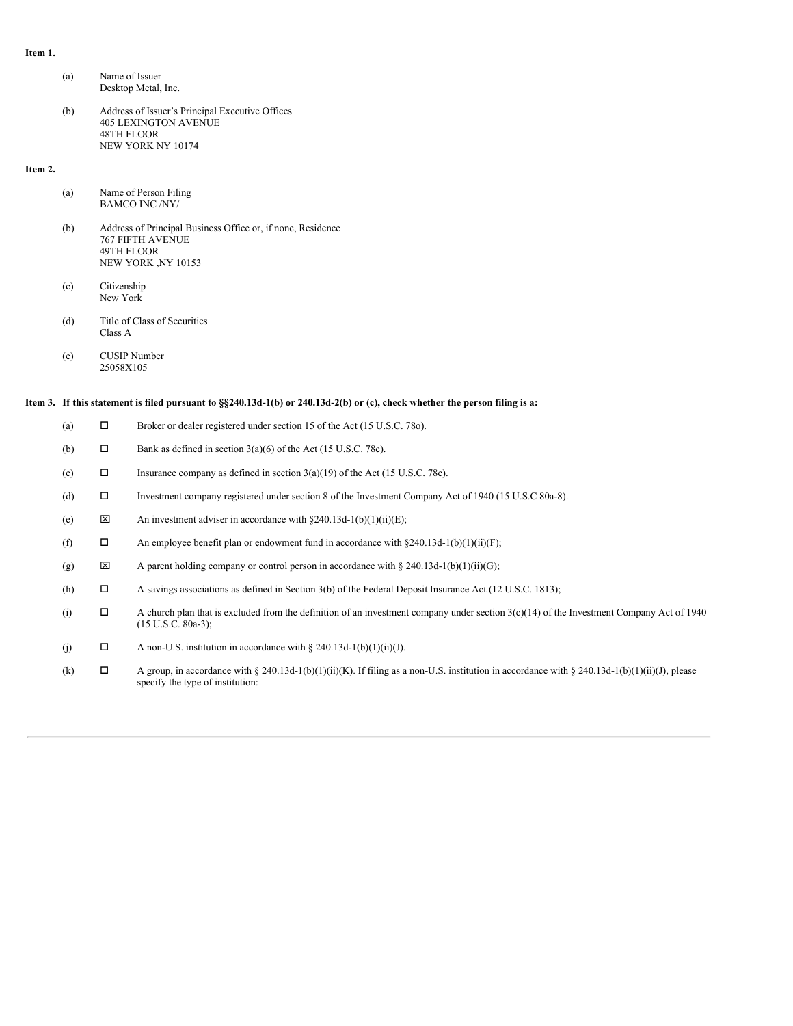#### **Item 1.**

- (a) Name of Issuer Desktop Metal, Inc.
- (b) Address of Issuer's Principal Executive Offices 405 LEXINGTON AVENUE 48TH FLOOR NEW YORK NY 10174

#### **Item 2.**

| (a) | Name of Person Filing |
|-----|-----------------------|
|     | <b>BAMCO INC /NY/</b> |

- (b) Address of Principal Business Office or, if none, Residence 767 FIFTH AVENUE 49TH FLOOR NEW YORK ,NY 10153
- (c) Citizenship New York
- (d) Title of Class of Securities Class A
- (e) CUSIP Number 25058X105

#### Item 3. If this statement is filed pursuant to §§240.13d-1(b) or 240.13d-2(b) or (c), check whether the person filing is a:

| (a) | □      | Broker or dealer registered under section 15 of the Act (15 U.S.C. 780).                                                                                                          |
|-----|--------|-----------------------------------------------------------------------------------------------------------------------------------------------------------------------------------|
| (b) | $\Box$ | Bank as defined in section $3(a)(6)$ of the Act (15 U.S.C. 78c).                                                                                                                  |
| (c) | П      | Insurance company as defined in section $3(a)(19)$ of the Act (15 U.S.C. 78c).                                                                                                    |
| (d) | П      | Investment company registered under section 8 of the Investment Company Act of 1940 (15 U.S.C 80a-8).                                                                             |
| (e) | ×      | An investment adviser in accordance with $\frac{240.13d-1(b)(1)(ii)(E)}{240.13d-1(b)(1)(ii)(E)}$ ;                                                                                |
| (f) | П      | An employee benefit plan or endowment fund in accordance with $\S 240.13d-1(b)(1)(ii)(F)$ ;                                                                                       |
| (g) | ×      | A parent holding company or control person in accordance with $\S 240.13d-1(b)(1)(ii)(G);$                                                                                        |
| (h) | $\Box$ | A savings associations as defined in Section 3(b) of the Federal Deposit Insurance Act (12 U.S.C. 1813);                                                                          |
| (i) | $\Box$ | A church plan that is excluded from the definition of an investment company under section $3(c)(14)$ of the Investment Company Act of 1940<br>$(15 \text{ U.S.C. } 80a-3);$       |
| (j) | $\Box$ | A non-U.S. institution in accordance with $\S 240.13d-1(b)(1)(ii)(J)$ .                                                                                                           |
| (k) | П      | A group, in accordance with § 240.13d-1(b)(1)(ii)(K). If filing as a non-U.S. institution in accordance with § 240.13d-1(b)(1)(ii)(J), please<br>specify the type of institution: |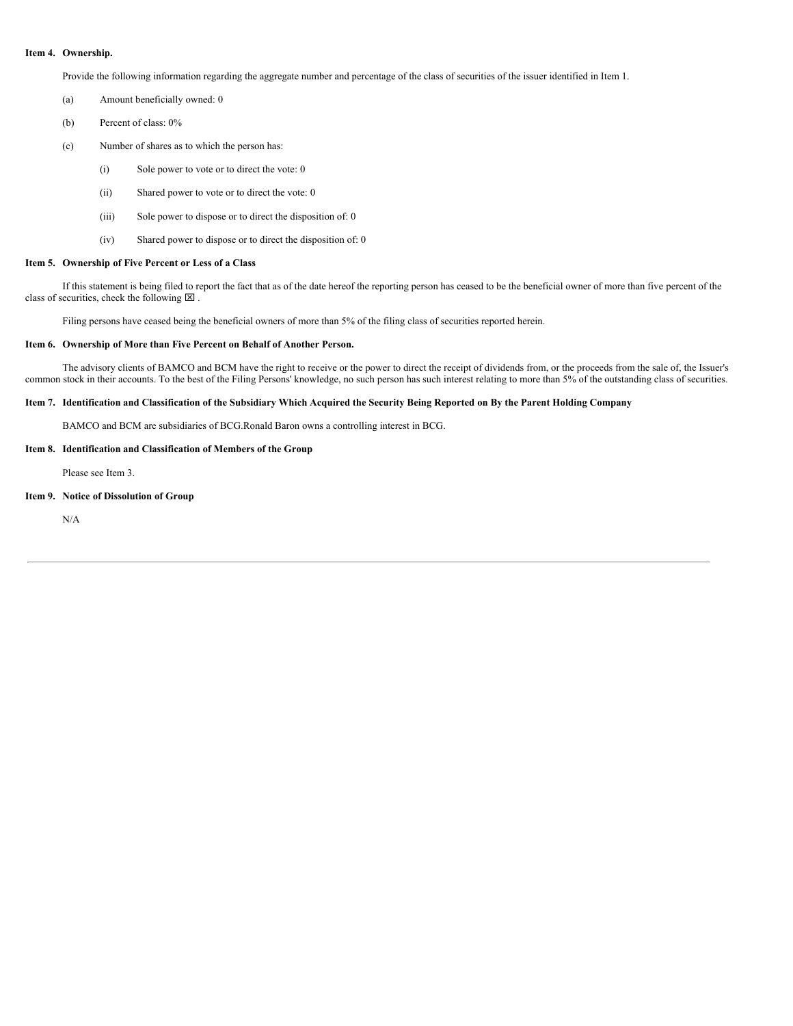#### **Item 4. Ownership.**

Provide the following information regarding the aggregate number and percentage of the class of securities of the issuer identified in Item 1.

- (a) Amount beneficially owned: 0
- (b) Percent of class: 0%
- (c) Number of shares as to which the person has:
	- (i) Sole power to vote or to direct the vote: 0
	- (ii) Shared power to vote or to direct the vote: 0
	- (iii) Sole power to dispose or to direct the disposition of: 0
	- (iv) Shared power to dispose or to direct the disposition of: 0

#### **Item 5. Ownership of Five Percent or Less of a Class**

If this statement is being filed to report the fact that as of the date hereof the reporting person has ceased to be the beneficial owner of more than five percent of the class of securities, check the following  $\boxtimes$ .

Filing persons have ceased being the beneficial owners of more than 5% of the filing class of securities reported herein.

#### **Item 6. Ownership of More than Five Percent on Behalf of Another Person.**

The advisory clients of BAMCO and BCM have the right to receive or the power to direct the receipt of dividends from, or the proceeds from the sale of, the Issuer's common stock in their accounts. To the best of the Filing Persons' knowledge, no such person has such interest relating to more than 5% of the outstanding class of securities.

#### Item 7. Identification and Classification of the Subsidiary Which Acquired the Security Being Reported on By the Parent Holding Company

BAMCO and BCM are subsidiaries of BCG.Ronald Baron owns a controlling interest in BCG.

# **Item 8. Identification and Classification of Members of the Group**

Please see Item 3.

#### **Item 9. Notice of Dissolution of Group**

N/A